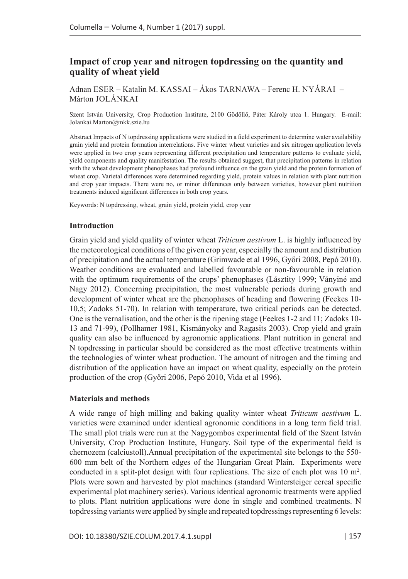# **Impact of crop year and nitrogen topdressing on the quantity and quality of wheat yield**

Adnan ESER – Katalin M. KASSAI – Ákos TARNAWA – Ferenc H. NYÁRAI – Márton JOLÁNKAI

Szent István University, Crop Production Institute, 2100 Gödöllő, Páter Károly utca 1. Hungary. E-mail: [Jolankai.Marton@mkk.szie.hu](mailto:Jolankai.Marton@mkk.szie.hu)

Abstract Impacts of N topdressing applications were studied in a field experiment to determine water availability grain yield and protein formation interrelations. Five winter wheat varieties and six nitrogen application levels were applied in two crop years representing different precipitation and temperature patterns to evaluate yield, yield components and quality manifestation. The results obtained suggest, that precipitation patterns in relation with the wheat development phenophases had profound influence on the grain yield and the protein formation of wheat crop. Varietal differences were determined regarding yield, protein values in relation with plant nutrition and crop year impacts. There were no, or minor differences only between varieties, however plant nutrition treatments induced significant differences in both crop years.

Keywords: N topdressing, wheat, grain yield, protein yield, crop year

#### **Introduction**

Grain yield and yield quality of winter wheat *Triticum aestivum* L. is highly influenced by the meteorological conditions of the given crop year, especially the amount and distribution of precipitation and the actual temperature (Grimwade et al 1996, Győri 2008, Pepó 2010). Weather conditions are evaluated and labelled favourable or non-favourable in relation with the optimum requirements of the crops' phenophases (Lásztity 1999; Ványiné and Nagy 2012). Concerning precipitation, the most vulnerable periods during growth and development of winter wheat are the phenophases of heading and flowering (Feekes 10- 10,5; Zadoks 51-70). In relation with temperature, two critical periods can be detected. One is the vernalisation, and the other is the ripening stage (Feekes 1-2 and 11; Zadoks 10- 13 and 71-99), (Pollhamer 1981, Kismányoky and Ragasits 2003). Crop yield and grain quality can also be influenced by agronomic applications. Plant nutrition in general and N topdressing in particular should be considered as the most effective treatments within the technologies of winter wheat production. The amount of nitrogen and the timing and distribution of the application have an impact on wheat quality, especially on the protein production of the crop (Győri 2006, Pepó 2010, Vida et al 1996).

### **Materials and methods**

A wide range of high milling and baking quality winter wheat *Triticum aestivum* L. varieties were examined under identical agronomic conditions in a long term field trial. The small plot trials were run at the Nagygombos experimental field of the Szent István University, Crop Production Institute, Hungary. Soil type of the experimental field is chernozem (calciustoll).Annual precipitation of the experimental site belongs to the 550- 600 mm belt of the Northern edges of the Hungarian Great Plain. Experiments were conducted in a split-plot design with four replications. The size of each plot was 10 m<sup>2</sup>. Plots were sown and harvested by plot machines (standard Wintersteiger cereal specific experimental plot machinery series). Various identical agronomic treatments were applied to plots. Plant nutrition applications were done in single and combined treatments. N topdressing variants were applied by single and repeated topdressings representing 6 levels: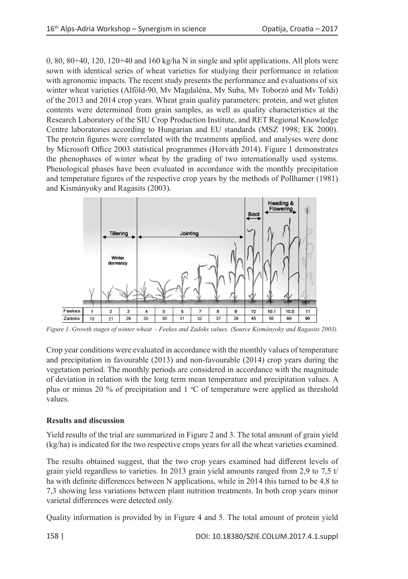0, 80, 80+40, 120, 120+40 and 160 kg/ha N in single and split applications. All plots were sown with identical series of wheat varieties for studying their performance in relation with agronomic impacts. The recent study presents the performance and evaluations of six winter wheat varieties (Alföld-90, Mv Magdaléna, Mv Suba, Mv Toborzó and Mv Toldi) of the 2013 and 2014 crop years. Wheat grain quality parameters: protein, and wet gluten contents were determined from grain samples, as well as quality characteristics at the Research Laboratory of the SIU Crop Production Institute, and RET Regional Knowledge Centre laboratories according to Hungarian and EU standards (MSZ 1998; EK 2000). The protein figures were correlated with the treatments applied, and analyses were done by Microsoft Office 2003 statistical programmes (Horváth 2014). Figure 1 demonstrates the phenophases of winter wheat by the grading of two internationally used systems. Phenological phases have been evaluated in accordance with the monthly precipitation and temperature figures of the respective crop years by the methods of Pollhamer (1981) and Kismányoky and Ragasits (2003).



*Figure 1. Growth stages of winter wheat - Feekes and Zadoks values. (Source Kismányoky and Ragasits 2003).*

Crop year conditions were evaluated in accordance with the monthly values of temperature and precipitation in favourable (2013) and non-favourable (2014) crop years during the vegetation period. The monthly periods are considered in accordance with the magnitude of deviation in relation with the long term mean temperature and precipitation values. A plus or minus 20 % of precipitation and  $1 \text{ }^{\circ}\text{C}$  of temperature were applied as threshold values.

# **Results and discussion**

Yield results of the trial are summarized in Figure 2 and 3. The total amount of grain yield (kg/ha) is indicated for the two respective crops years for all the wheat varieties examined.

The results obtained suggest, that the two crop years examined had different levels of grain yield regardless to varieties. In 2013 grain yield amounts ranged from 2,9 to 7,5 t/ ha with definite differences between N applications, while in 2014 this turned to be 4,8 to 7,3 showing less variations between plant nutrition treatments. In both crop years minor varietal differences were detected only.

Quality information is provided by in Figure 4 and 5. The total amount of protein yield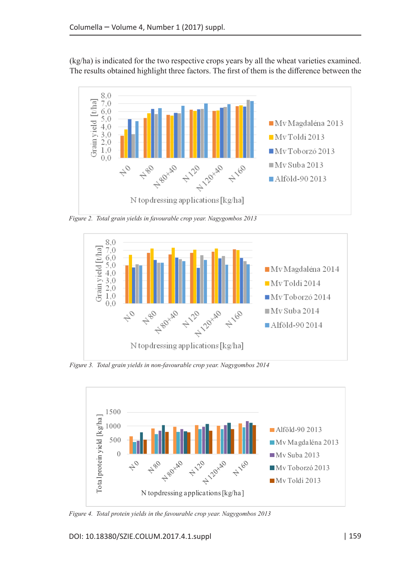(kg/ha) is indicated for the two respective crops years by all the wheat varieties examined. The results obtained highlight three factors. The first of them is the difference between the



*Figure 2. Total grain yields in favourable crop year. Nagygombos 2013*



*Figure 3. Total grain yields in non-favourable crop year. Nagygombos 2014*



*Figure 4. Total protein yields in the favourable crop year. Nagygombos 2013*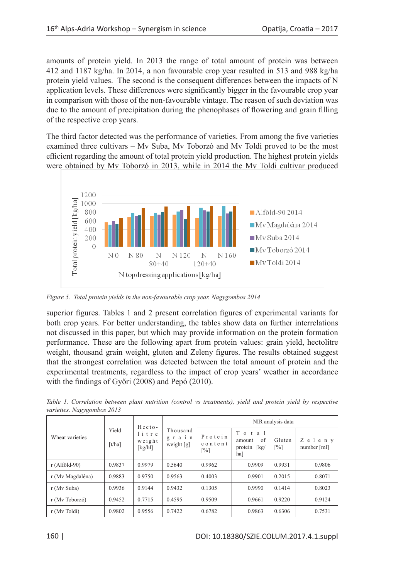amounts of protein yield. In 2013 the range of total amount of protein was between 412 and 1187 kg/ha. In 2014, a non favourable crop year resulted in 513 and 988 kg/ha protein yield values. The second is the consequent differences between the impacts of N application levels. These differences were significantly bigger in the favourable crop year in comparison with those of the non-favourable vintage. The reason of such deviation was due to the amount of precipitation during the phenophases of flowering and grain filling of the respective crop years.

The third factor detected was the performance of varieties. From among the five varieties examined three cultivars – Mv Suba, Mv Toborzó and Mv Toldi proved to be the most efficient regarding the amount of total protein yield production. The highest protein yields were obtained by Mv Toborzó in 2013, while in 2014 the Mv Toldi cultivar produced



*Figure 5. Total protein yields in the non-favourable crop year. Nagygombos 2014*

superior figures. Tables 1 and 2 present correlation figures of experimental variants for both crop years. For better understanding, the tables show data on further interrelations not discussed in this paper, but which may provide information on the protein formation performance. These are the following apart from protein values: grain yield, hectolitre weight, thousand grain weight, gluten and Zeleny figures. The results obtained suggest that the strongest correlation was detected between the total amount of protein and the experimental treatments, regardless to the impact of crop years' weather in accordance with the findings of Győri (2008) and Pepó (2010).

| Wheat varieties  | Yield<br>$\lceil t / ha \rceil$ | Hecto-<br>litre<br>weight<br>[ $kg/h$ ]] | Thousand<br>grain<br>weight $[g]$ | NIR analysis data                       |                                              |                             |                       |
|------------------|---------------------------------|------------------------------------------|-----------------------------------|-----------------------------------------|----------------------------------------------|-----------------------------|-----------------------|
|                  |                                 |                                          |                                   | Protein<br>content<br>$\lceil\% \rceil$ | Total<br>of<br>amount<br>protein [kg/<br>ha] | Gluten<br>$\lceil\% \rceil$ | Zeleny<br>number [ml] |
| $r(Alföld-90)$   | 0.9837                          | 0.9979                                   | 0.5640                            | 0.9962                                  | 0.9909                                       | 0.9931                      | 0.9806                |
| r (Mv Magdaléna) | 0.9883                          | 0.9750                                   | 0.9563                            | 0.4003                                  | 0.9901                                       | 0.2015                      | 0.8071                |
| r (My Suba)      | 0.9936                          | 0.9144                                   | 0.9432                            | 0.1305                                  | 0.9990                                       | 0.1414                      | 0.8023                |
| r (My Toborzó)   | 0.9452                          | 0.7715                                   | 0.4595                            | 0.9509                                  | 0.9661                                       | 0.9220                      | 0.9124                |
| r (Mv Toldi)     | 0.9802                          | 0.9556                                   | 0.7422                            | 0.6782                                  | 0.9863                                       | 0.6306                      | 0.7531                |

*Table 1. Correlation between plant nutrition (control vs treatments), yield and protein yield by respective varieties. Nagygombos 2013*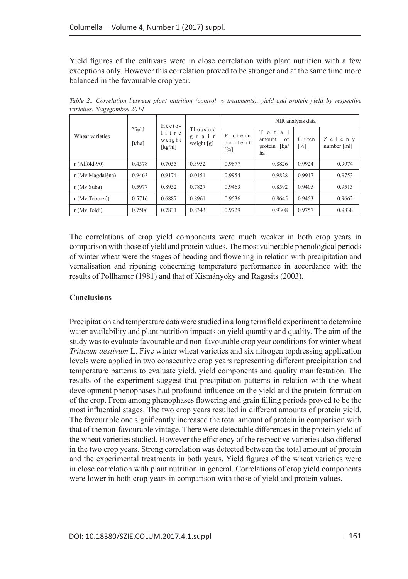Yield figures of the cultivars were in close correlation with plant nutrition with a few exceptions only. However this correlation proved to be stronger and at the same time more balanced in the favourable crop year.

| Wheat varieties  | Yield<br>$\lceil t/ha \rceil$ | Hecto-<br>litre<br>weight<br>$\lceil \frac{kg}{h} \rceil$ | Thousand<br>grain<br>weight $[g]$ | NIR analysis data                       |                                                                   |                             |                       |
|------------------|-------------------------------|-----------------------------------------------------------|-----------------------------------|-----------------------------------------|-------------------------------------------------------------------|-----------------------------|-----------------------|
|                  |                               |                                                           |                                   | Protein<br>content<br>$\lceil\% \rceil$ | Total<br>of<br>amount<br>protein $\lceil \text{kg} \rceil$<br>ha] | Gluten<br>$\lceil\% \rceil$ | Zeleny<br>number [ml] |
| $r(Alföld-90)$   | 0.4578                        | 0.7055                                                    | 0.3952                            | 0.9877                                  | 0.8826                                                            | 0.9924                      | 0.9974                |
| r (Mv Magdaléna) | 0.9463                        | 0.9174                                                    | 0.0151                            | 0.9954                                  | 0.9828                                                            | 0.9917                      | 0.9753                |
| r (My Suba)      | 0.5977                        | 0.8952                                                    | 0.7827                            | 0.9463                                  | 0.8592                                                            | 0.9405                      | 0.9513                |
| r (Mv Toborzó)   | 0.5716                        | 0.6887                                                    | 0.8961                            | 0.9536                                  | 0.8645                                                            | 0.9453                      | 0.9662                |
| r (Mv Toldi)     | 0.7506                        | 0.7831                                                    | 0.8343                            | 0.9729                                  | 0.9308                                                            | 0.9757                      | 0.9838                |

*Table 2.. Correlation between plant nutrition (control vs treatments), yield and protein yield by respective varieties. Nagygombos 2014*

The correlations of crop yield components were much weaker in both crop years in comparison with those of yield and protein values. The most vulnerable phenological periods of winter wheat were the stages of heading and flowering in relation with precipitation and vernalisation and ripening concerning temperature performance in accordance with the results of Pollhamer (1981) and that of Kismányoky and Ragasits (2003).

# **Conclusions**

Precipitation and temperature data were studied in a long term field experiment to determine water availability and plant nutrition impacts on yield quantity and quality. The aim of the study was to evaluate favourable and non-favourable crop year conditions for winter wheat *Triticum aestivum* L. Five winter wheat varieties and six nitrogen topdressing application levels were applied in two consecutive crop years representing different precipitation and temperature patterns to evaluate yield, yield components and quality manifestation. The results of the experiment suggest that precipitation patterns in relation with the wheat development phenophases had profound influence on the yield and the protein formation of the crop. From among phenophases flowering and grain filling periods proved to be the most influential stages. The two crop years resulted in different amounts of protein yield. The favourable one significantly increased the total amount of protein in comparison with that of the non-favourable vintage. There were detectable differences in the protein yield of the wheat varieties studied. However the efficiency of the respective varieties also differed in the two crop years. Strong correlation was detected between the total amount of protein and the experimental treatments in both years. Yield figures of the wheat varieties were in close correlation with plant nutrition in general. Correlations of crop yield components were lower in both crop years in comparison with those of yield and protein values.